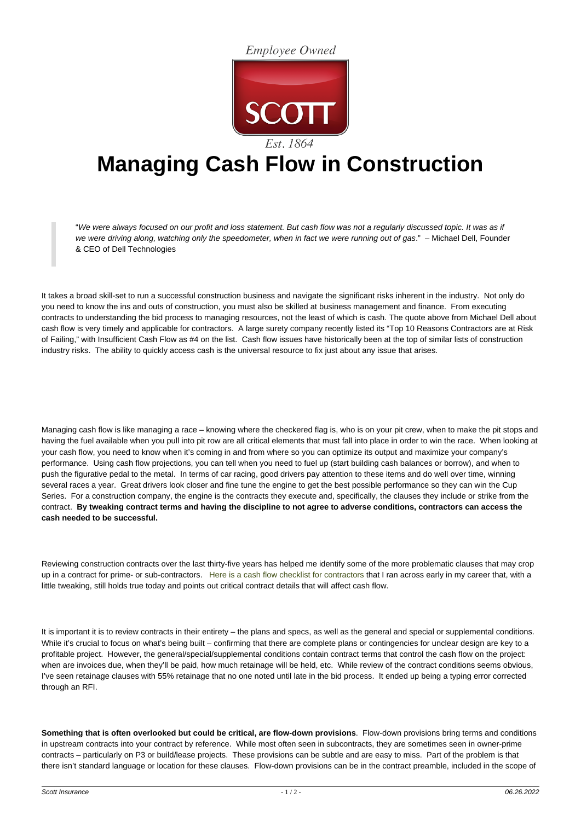**Employee Owned** 



## **Managing Cash Flow in Construction**

"We were always focused on our profit and loss statement. But cash flow was not a regularly discussed topic. It was as if we were driving along, watching only the speedometer, when in fact we were running out of gas." – Michael Dell, Founder & CEO of Dell Technologies

It takes a broad skill-set to run a successful construction business and navigate the significant risks inherent in the industry. Not only do you need to know the ins and outs of construction, you must also be skilled at business management and finance. From executing contracts to understanding the bid process to managing resources, not the least of which is cash. The quote above from Michael Dell about cash flow is very timely and applicable for contractors. A large surety company recently listed its "Top 10 Reasons Contractors are at Risk of Failing," with Insufficient Cash Flow as #4 on the list. Cash flow issues have historically been at the top of similar lists of construction industry risks. The ability to quickly access cash is the universal resource to fix just about any issue that arises.

Managing cash flow is like managing a race – knowing where the checkered flag is, who is on your pit crew, when to make the pit stops and having the fuel available when you pull into pit row are all critical elements that must fall into place in order to win the race. When looking at your cash flow, you need to know when it's coming in and from where so you can optimize its output and maximize your company's performance. Using cash flow projections, you can tell when you need to fuel up (start building cash balances or borrow), and when to push the figurative pedal to the metal. In terms of car racing, good drivers pay attention to these items and do well over time, winning several races a year. Great drivers look closer and fine tune the engine to get the best possible performance so they can win the Cup Series. For a construction company, the engine is the contracts they execute and, specifically, the clauses they include or strike from the contract. **By tweaking contract terms and having the discipline to not agree to adverse conditions, contractors can access the cash needed to be successful.** 

Reviewing construction contracts over the last thirty-five years has helped me identify some of the more problematic clauses that may crop up in a contract for prime- or sub-contractors. [Here is a cash flow checklist for contractors](https://www.scottins.com/wp-content/uploads/2019/04/Cash-Flow-Checklist-for-Contractors.pdf) that I ran across early in my career that, with a little tweaking, still holds true today and points out critical contract details that will affect cash flow.

It is important it is to review contracts in their entirety – the plans and specs, as well as the general and special or supplemental conditions. While it's crucial to focus on what's being built – confirming that there are complete plans or contingencies for unclear design are key to a profitable project. However, the general/special/supplemental conditions contain contract terms that control the cash flow on the project: when are invoices due, when they'll be paid, how much retainage will be held, etc. While review of the contract conditions seems obvious, I've seen retainage clauses with 55% retainage that no one noted until late in the bid process. It ended up being a typing error corrected through an RFI.

**Something that is often overlooked but could be critical, are flow-down provisions**. Flow-down provisions bring terms and conditions in upstream contracts into your contract by reference. While most often seen in subcontracts, they are sometimes seen in owner-prime contracts – particularly on P3 or build/lease projects. These provisions can be subtle and are easy to miss. Part of the problem is that there isn't standard language or location for these clauses. Flow-down provisions can be in the contract preamble, included in the scope of